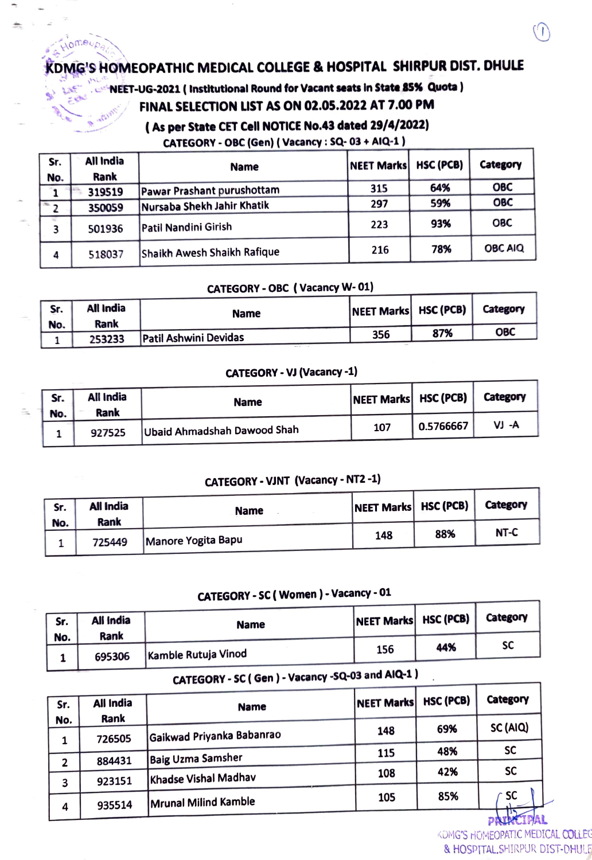## KDMG'S HOMEOPATHIC MEDICAL COLLEGE & HOSPITAL SHIRPUR DIST. DHULE

**AOMAND** 

### u NEET-UG-2021 ( Instutional Round for Vacant seats in State 85% Quota)

## FINAL SELECTION LIST AS ON 02.05.2022 AT 7.00 PM

### (As per State CET Cell NOTICE No.43 dated 29/4/2022)

CATEGORY-0BC (Gen)(Vacancy: 5Q- 03+ AlQ-1)

| Sr.             | All India | <b>Name</b>                 | NEET Marks HSC (PCB) |     | Category       |
|-----------------|-----------|-----------------------------|----------------------|-----|----------------|
| No.             | Rank      |                             |                      |     |                |
|                 | 319519    | Pawar Prashant purushottam  | 315                  | 64% | <b>OBC</b>     |
| $\overline{2}$  | 350059    | Nursaba Shekh Jahir Khatik  | 297                  | 59% | <b>OBC</b>     |
| <b>SEC</b><br>3 | 501936    | Patil Nandini Girish        | 223                  | 93% | <b>OBC</b>     |
| 4               | 518037    | Shaikh Awesh Shaikh Rafique | 216                  | 78% | <b>OBC AIQ</b> |

#### CATEGORY - OBC ( Vacancy W-01)

| Sr. | All India<br>Rank | <b>Name</b>           | NEET Marks HSC (PCB) |     | Category   |
|-----|-------------------|-----------------------|----------------------|-----|------------|
| No. | 253233            | Patil Ashwini Devidas | 356                  | 87% | <b>OBC</b> |
|     |                   | ALC: NO               |                      |     |            |

#### CATEGORY-VJ (Vacancy -1)

| Sr. | All India      | <b>Name</b>                 | NEET Marks   HSC (PCB) |           | Category |
|-----|----------------|-----------------------------|------------------------|-----------|----------|
| No. | Rank<br>927525 | Ubaid Ahmadshah Dawood Shah | 107                    | 0.5766667 | VJ -A    |

## CATEGORY-VINT (Vacancy- NT2-1)

| Sr. | All India      | <b>Name</b>        | NEET Marks   HSC (PCB) |     | Category |
|-----|----------------|--------------------|------------------------|-----|----------|
| No. | Rank<br>725449 | Manore Yogita Bapu | 148                    | 88% | NT-C     |
|     |                |                    |                        |     |          |

## CATEGORY-SC( Women)- Vacancy-01

| Sr. | All India | <b>Name</b>         | NEET Marks   HSC (PCB) |     | Category |
|-----|-----------|---------------------|------------------------|-----|----------|
| No. | Rank      |                     |                        |     |          |
|     | 695306    | Kambie Rutuja Vinod | 156                    | 44% | sc       |
|     |           |                     |                        |     |          |

# CATEGORY-SC( Gen)-Vacancy-5q-03 and AIQ-1)

| Sr.            | All India | <b>Name</b>                 | <b>NEET Marks</b> | HSC (PCB) | Category  |
|----------------|-----------|-----------------------------|-------------------|-----------|-----------|
| No.            | Rank      |                             |                   | 69%       | SC (AIQ)  |
| 1              | 726505    | Gaikwad Priyanka Babanrao   | 148               |           |           |
|                | 884431    | <b>Baig Uzma Samsher</b>    | 115               | 48%       | <b>SC</b> |
| $\overline{2}$ |           |                             | 108               | 42%       | <b>SC</b> |
| 3              | 923151    | Khadse Vishal Madhav        |                   |           |           |
| 4              | 935514    | <b>Mrunal Milind Kamble</b> | 105               | 85%       | ∙ sc      |
|                |           |                             |                   |           | CIPAL     |

KDMG'S HOMEOPATIC MEDICAL COLLEC & HOSPITALSHIRPUR DIST-DHULE